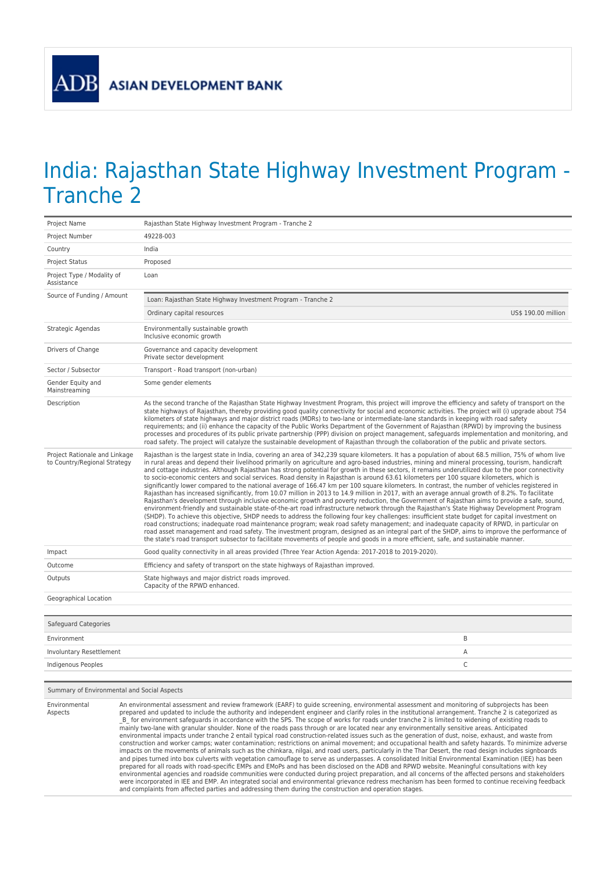## India: Rajasthan State Highway Investment Program - Tranche 2

| Project Name                                                  | Rajasthan State Highway Investment Program - Tranche 2                                                                                                                                                                                                                                                                                                                                                                                                                                                                                                                                                                                                                                                                                                                                                                                                                                                                                                                                                                                                                                                                                                                                                                                                                                                                                                                                                                                                                                                                                                                                                                                                                                                                                                                                           |                     |
|---------------------------------------------------------------|--------------------------------------------------------------------------------------------------------------------------------------------------------------------------------------------------------------------------------------------------------------------------------------------------------------------------------------------------------------------------------------------------------------------------------------------------------------------------------------------------------------------------------------------------------------------------------------------------------------------------------------------------------------------------------------------------------------------------------------------------------------------------------------------------------------------------------------------------------------------------------------------------------------------------------------------------------------------------------------------------------------------------------------------------------------------------------------------------------------------------------------------------------------------------------------------------------------------------------------------------------------------------------------------------------------------------------------------------------------------------------------------------------------------------------------------------------------------------------------------------------------------------------------------------------------------------------------------------------------------------------------------------------------------------------------------------------------------------------------------------------------------------------------------------|---------------------|
| Project Number                                                | 49228-003                                                                                                                                                                                                                                                                                                                                                                                                                                                                                                                                                                                                                                                                                                                                                                                                                                                                                                                                                                                                                                                                                                                                                                                                                                                                                                                                                                                                                                                                                                                                                                                                                                                                                                                                                                                        |                     |
| Country                                                       | India                                                                                                                                                                                                                                                                                                                                                                                                                                                                                                                                                                                                                                                                                                                                                                                                                                                                                                                                                                                                                                                                                                                                                                                                                                                                                                                                                                                                                                                                                                                                                                                                                                                                                                                                                                                            |                     |
| <b>Project Status</b>                                         | Proposed                                                                                                                                                                                                                                                                                                                                                                                                                                                                                                                                                                                                                                                                                                                                                                                                                                                                                                                                                                                                                                                                                                                                                                                                                                                                                                                                                                                                                                                                                                                                                                                                                                                                                                                                                                                         |                     |
| Project Type / Modality of<br>Assistance                      | Loan                                                                                                                                                                                                                                                                                                                                                                                                                                                                                                                                                                                                                                                                                                                                                                                                                                                                                                                                                                                                                                                                                                                                                                                                                                                                                                                                                                                                                                                                                                                                                                                                                                                                                                                                                                                             |                     |
| Source of Funding / Amount                                    | Loan: Rajasthan State Highway Investment Program - Tranche 2                                                                                                                                                                                                                                                                                                                                                                                                                                                                                                                                                                                                                                                                                                                                                                                                                                                                                                                                                                                                                                                                                                                                                                                                                                                                                                                                                                                                                                                                                                                                                                                                                                                                                                                                     |                     |
|                                                               | Ordinary capital resources                                                                                                                                                                                                                                                                                                                                                                                                                                                                                                                                                                                                                                                                                                                                                                                                                                                                                                                                                                                                                                                                                                                                                                                                                                                                                                                                                                                                                                                                                                                                                                                                                                                                                                                                                                       | US\$ 190.00 million |
| Strategic Agendas                                             | Environmentally sustainable growth<br>Inclusive economic growth                                                                                                                                                                                                                                                                                                                                                                                                                                                                                                                                                                                                                                                                                                                                                                                                                                                                                                                                                                                                                                                                                                                                                                                                                                                                                                                                                                                                                                                                                                                                                                                                                                                                                                                                  |                     |
| Drivers of Change                                             | Governance and capacity development<br>Private sector development                                                                                                                                                                                                                                                                                                                                                                                                                                                                                                                                                                                                                                                                                                                                                                                                                                                                                                                                                                                                                                                                                                                                                                                                                                                                                                                                                                                                                                                                                                                                                                                                                                                                                                                                |                     |
| Sector / Subsector                                            | Transport - Road transport (non-urban)                                                                                                                                                                                                                                                                                                                                                                                                                                                                                                                                                                                                                                                                                                                                                                                                                                                                                                                                                                                                                                                                                                                                                                                                                                                                                                                                                                                                                                                                                                                                                                                                                                                                                                                                                           |                     |
| Gender Equity and<br>Mainstreaming                            | Some gender elements                                                                                                                                                                                                                                                                                                                                                                                                                                                                                                                                                                                                                                                                                                                                                                                                                                                                                                                                                                                                                                                                                                                                                                                                                                                                                                                                                                                                                                                                                                                                                                                                                                                                                                                                                                             |                     |
| Description                                                   | As the second tranche of the Rajasthan State Highway Investment Program, this project will improve the efficiency and safety of transport on the<br>state highways of Rajasthan, thereby providing good quality connectivity for social and economic activities. The project will (i) upgrade about 754<br>kilometers of state highways and major district roads (MDRs) to two-lane or intermediate-lane standards in keeping with road safety<br>requirements; and (ii) enhance the capacity of the Public Works Department of the Government of Rajasthan (RPWD) by improving the business<br>processes and procedures of its public private partnership (PPP) division on project management, safeguards implementation and monitoring, and<br>road safety. The project will catalyze the sustainable development of Rajasthan through the collaboration of the public and private sectors.                                                                                                                                                                                                                                                                                                                                                                                                                                                                                                                                                                                                                                                                                                                                                                                                                                                                                                   |                     |
| Project Rationale and Linkage<br>to Country/Regional Strategy | Rajasthan is the largest state in India, covering an area of 342,239 square kilometers. It has a population of about 68.5 million, 75% of whom live<br>in rural areas and depend their livelihood primarily on agriculture and agro-based industries, mining and mineral processing, tourism, handicraft<br>and cottage industries. Although Rajasthan has strong potential for growth in these sectors, it remains underutilized due to the poor connectivity<br>to socio-economic centers and social services. Road density in Rajasthan is around 63.61 kilometers per 100 square kilometers, which is<br>significantly lower compared to the national average of 166.47 km per 100 square kilometers. In contrast, the number of vehicles registered in<br>Rajasthan has increased significantly, from 10.07 million in 2013 to 14.9 million in 2017, with an average annual growth of 8.2%. To facilitate<br>Rajasthan's development through inclusive economic growth and poverty reduction, the Government of Rajasthan aims to provide a safe, sound,<br>environment-friendly and sustainable state-of-the-art road infrastructure network through the Rajasthan's State Highway Development Program<br>(SHDP). To achieve this objective, SHDP needs to address the following four key challenges: insufficient state budget for capital investment on<br>road constructions; inadequate road maintenance program; weak road safety management; and inadequate capacity of RPWD, in particular on<br>road asset management and road safety. The investment program, designed as an integral part of the SHDP, aims to improve the performance of<br>the state's road transport subsector to facilitate movements of people and goods in a more efficient, safe, and sustainable manner. |                     |
| Impact                                                        | Good quality connectivity in all areas provided (Three Year Action Agenda: 2017-2018 to 2019-2020).                                                                                                                                                                                                                                                                                                                                                                                                                                                                                                                                                                                                                                                                                                                                                                                                                                                                                                                                                                                                                                                                                                                                                                                                                                                                                                                                                                                                                                                                                                                                                                                                                                                                                              |                     |
| Outcome                                                       | Efficiency and safety of transport on the state highways of Rajasthan improved.                                                                                                                                                                                                                                                                                                                                                                                                                                                                                                                                                                                                                                                                                                                                                                                                                                                                                                                                                                                                                                                                                                                                                                                                                                                                                                                                                                                                                                                                                                                                                                                                                                                                                                                  |                     |
| Outputs                                                       | State highways and major district roads improved.<br>Capacity of the RPWD enhanced.                                                                                                                                                                                                                                                                                                                                                                                                                                                                                                                                                                                                                                                                                                                                                                                                                                                                                                                                                                                                                                                                                                                                                                                                                                                                                                                                                                                                                                                                                                                                                                                                                                                                                                              |                     |
| Geographical Location                                         |                                                                                                                                                                                                                                                                                                                                                                                                                                                                                                                                                                                                                                                                                                                                                                                                                                                                                                                                                                                                                                                                                                                                                                                                                                                                                                                                                                                                                                                                                                                                                                                                                                                                                                                                                                                                  |                     |
| Safeguard Categories                                          |                                                                                                                                                                                                                                                                                                                                                                                                                                                                                                                                                                                                                                                                                                                                                                                                                                                                                                                                                                                                                                                                                                                                                                                                                                                                                                                                                                                                                                                                                                                                                                                                                                                                                                                                                                                                  |                     |
| Environment                                                   |                                                                                                                                                                                                                                                                                                                                                                                                                                                                                                                                                                                                                                                                                                                                                                                                                                                                                                                                                                                                                                                                                                                                                                                                                                                                                                                                                                                                                                                                                                                                                                                                                                                                                                                                                                                                  | B                   |
| Involuntary Resettlement                                      |                                                                                                                                                                                                                                                                                                                                                                                                                                                                                                                                                                                                                                                                                                                                                                                                                                                                                                                                                                                                                                                                                                                                                                                                                                                                                                                                                                                                                                                                                                                                                                                                                                                                                                                                                                                                  | A                   |
| Indigenous Peoples                                            |                                                                                                                                                                                                                                                                                                                                                                                                                                                                                                                                                                                                                                                                                                                                                                                                                                                                                                                                                                                                                                                                                                                                                                                                                                                                                                                                                                                                                                                                                                                                                                                                                                                                                                                                                                                                  | C                   |

## Summary of Environmental and Social Aspects

Environmental Aspects An environmental assessment and review framework (EARF) to guide screening, environmental assessment and monitoring of subprojects has been<br>prepared and updated to include the authority and independent engineer and clarify for environment safeguards in accordance with the SPS. The scope of works for roads under tranche 2 is limited to widening of existing roads to mainly two-lane with granular shoulder. None of the roads pass through or are located near any environmentally sensitive areas. Anticipated<br>environmental impacts under tranche 2 entail typical road construction-related iss construction and worker camps; water contamination; restrictions on animal movement; and occupational health and safety hazards. To minimize adverse<br>impacts on the movements of animals such as the chinkara, nilgai, and roa prepared for all roads with road-specific EMPs and EMoPs and has been disclosed on the ADB and RPWD website. Meaningful consultations with key<br>environmental agencies and roadside communities were conducted during project p and complaints from affected parties and addressing them during the construction and operation stages.